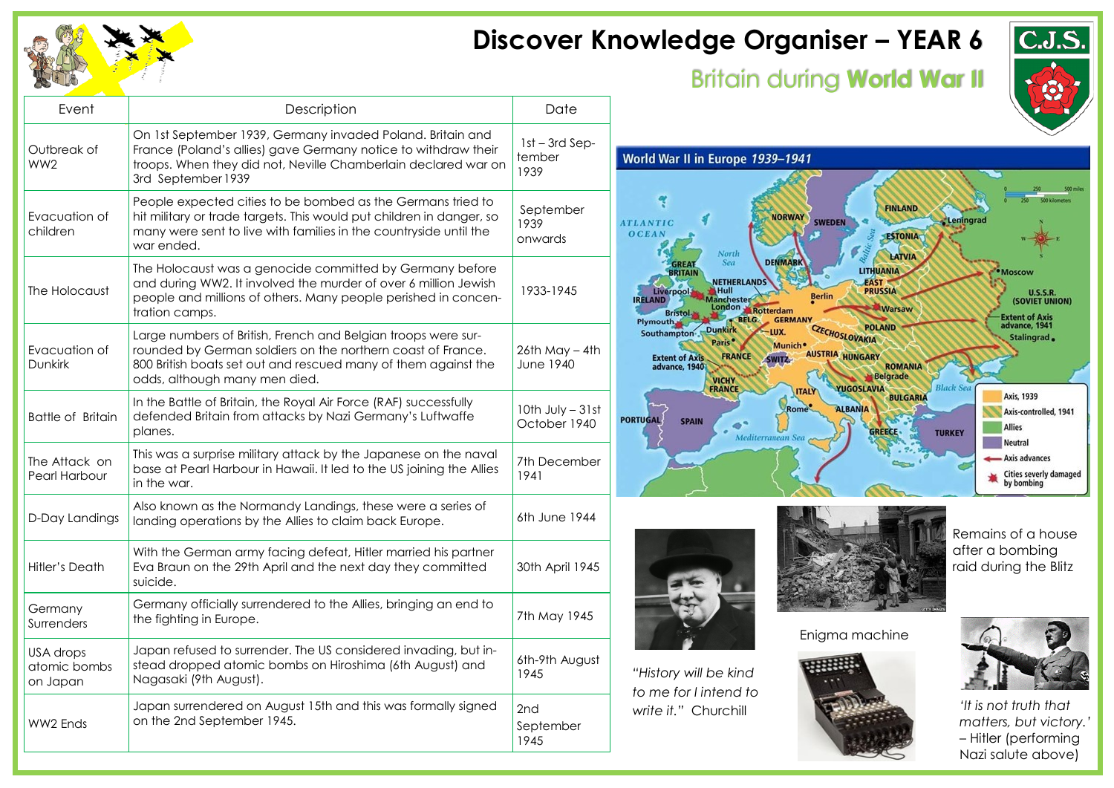

## **Discover Knowledge Organiser – YEAR 6**

## Britain during **World War II**



| Event                                 | Description                                                                                                                                                                                                                     | Date                                 |                                                                                                                                                                                                                                                                                                                            |
|---------------------------------------|---------------------------------------------------------------------------------------------------------------------------------------------------------------------------------------------------------------------------------|--------------------------------------|----------------------------------------------------------------------------------------------------------------------------------------------------------------------------------------------------------------------------------------------------------------------------------------------------------------------------|
| Outbreak of<br>WW <sub>2</sub>        | On 1st September 1939, Germany invaded Poland. Britain and<br>France (Poland's allies) gave Germany notice to withdraw their<br>troops. When they did not, Neville Chamberlain declared war on<br>3rd September 1939            | $1st - 3rd$ Sep-<br>tember<br>1939   | World War II in Europe 1939-1941                                                                                                                                                                                                                                                                                           |
| Evacuation of<br>children             | People expected cities to be bombed as the Germans tried to<br>hit military or trade targets. This would put children in danger, so<br>many were sent to live with families in the countryside until the<br>war ended.          | September<br>1939<br>onwards         | <b>FINLAND</b><br><b>NORWAY</b><br>Leningrad<br><b>SWEDEN</b><br><b>ATLANTIC</b><br><b>OCEAN</b><br><b>ESTONIA</b><br>North<br>LATVIA                                                                                                                                                                                      |
| The Holocaust                         | The Holocaust was a genocide committed by Germany before<br>and during WW2. It involved the murder of over 6 million Jewish<br>people and millions of others. Many people perished in concen-<br>tration camps.                 | 1933-1945                            | <b>DENMARK</b><br>Sea<br><b>LITHUANIA</b><br>· Moscow<br><b>NETHERLANDS</b><br>FAST<br><b>PRUSSIA</b><br>Hull<br><i>iverpool-</i><br><b>U.S.S.R.</b><br>anchester<br>(SOVIET UNION)<br><b>IRFI AND</b><br>London Rotterdam<br><b>Warsaw</b><br><b>Extent of Axis</b><br><b>GERMANY</b><br><b>BELG.</b>                     |
| Evacuation of<br><b>Dunkirk</b>       | Large numbers of British, French and Belgian troops were sur-<br>rounded by German soldiers on the northern coast of France.<br>800 British boats set out and rescued many of them against the<br>odds, although many men died. | $26th$ May $-$ 4th<br>June 1940      | advance, 1941<br><b>POLAND</b><br><b>Dunkirk</b><br>CZECHOSLOVAKIA<br><b>LUX</b><br>Southampton -<br>Stalingrad.<br><b>Munich</b><br>AUSTRIA HUNGARY<br><b>FRANCE</b><br><b>Extent of Axis</b><br>SWITZ.<br><b>ROMANIA</b><br>advance, 1940<br><b>Belgrade</b><br><b>VICHY</b><br>FRANCE<br><b>Black Sea</b><br>YUGOSLAVIA |
| <b>Battle of Britain</b>              | In the Battle of Britain, the Royal Air Force (RAF) successfully<br>defended Britain from attacks by Nazi Germany's Luftwaffe<br>planes.                                                                                        | 10th July - 31st<br>October 1940     | <b>ITALY</b><br>Axis, 1939<br><b>BULGARIA</b><br><b>ALBANIA</b><br>Rome<br>Axis-controlled, 1941<br><b>PORTUGAL</b><br><b>SPAIN</b><br>e*<br><b>Allies</b><br><b>GREECE</b><br><b>TURKEY</b><br>Mediterranean Sea<br>Neutral                                                                                               |
| The Attack on<br><b>Pearl Harbour</b> | This was a surprise military attack by the Japanese on the naval<br>base at Pearl Harbour in Hawaii. It led to the US joining the Allies<br>in the war.                                                                         | 7th December<br>1941                 | - Axis advances<br>Cities severly damaged<br>by bombing                                                                                                                                                                                                                                                                    |
| D-Day Landings                        | Also known as the Normandy Landings, these were a series of<br>landing operations by the Allies to claim back Europe.                                                                                                           | 6th June 1944                        | Remains of a house                                                                                                                                                                                                                                                                                                         |
| Hitler's Death                        | With the German army facing defeat, Hitler married his partner<br>Eva Braun on the 29th April and the next day they committed<br>suicide.                                                                                       | 30th April 1945                      | after a bombing<br>raid during the Blitz                                                                                                                                                                                                                                                                                   |
| Germany<br>Surrenders                 | Germany officially surrendered to the Allies, bringing an end to<br>the fighting in Europe.                                                                                                                                     | 7th May 1945                         | Enigma machine                                                                                                                                                                                                                                                                                                             |
| USA drops<br>atomic bombs<br>on Japan | Japan refused to surrender. The US considered invading, but in-<br>stead dropped atomic bombs on Hiroshima (6th August) and<br>Nagasaki (9th August).                                                                           | 6th-9th August<br>1945               | "History will be kind<br>to me for I intend to                                                                                                                                                                                                                                                                             |
| <b>WW2 Ends</b>                       | Japan surrendered on August 15th and this was formally signed<br>on the 2nd September 1945.                                                                                                                                     | 2 <sub>nd</sub><br>September<br>1945 | 'It is not truth that<br>write it." Churchill<br>matters, but victory.'<br>- Hitler (performing<br>Nazi salute above)                                                                                                                                                                                                      |